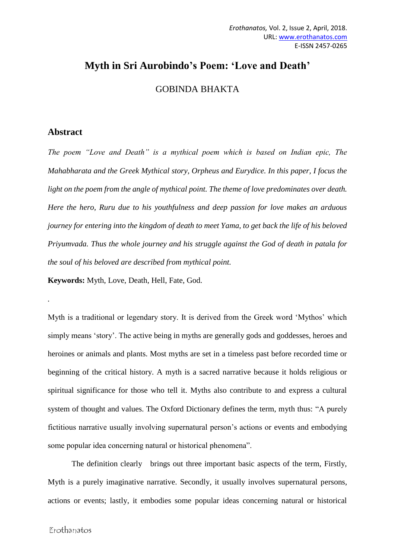## **Myth in Sri Aurobindo's Poem: 'Love and Death'**

GOBINDA BHAKTA

## **Abstract**

*.*

*The poem "Love and Death" is a mythical poem which is based on Indian epic, The Mahabharata and the Greek Mythical story, Orpheus and Eurydice. In this paper, I focus the light on the poem from the angle of mythical point. The theme of love predominates over death. Here the hero, Ruru due to his youthfulness and deep passion for love makes an arduous journey for entering into the kingdom of death to meet Yama, to get back the life of his beloved Priyumvada. Thus the whole journey and his struggle against the God of death in patala for the soul of his beloved are described from mythical point.* 

**Keywords:** Myth, Love, Death, Hell, Fate, God.

Myth is a traditional or legendary story. It is derived from the Greek word 'Mythos' which simply means 'story'. The active being in myths are generally gods and goddesses, heroes and heroines or animals and plants. Most myths are set in a timeless past before recorded time or beginning of the critical history. A myth is a sacred narrative because it holds religious or spiritual significance for those who tell it. Myths also contribute to and express a cultural system of thought and values. The Oxford Dictionary defines the term, myth thus: "A purely fictitious narrative usually involving supernatural person's actions or events and embodying some popular idea concerning natural or historical phenomena".

The definition clearly brings out three important basic aspects of the term, Firstly, Myth is a purely imaginative narrative. Secondly, it usually involves supernatural persons, actions or events; lastly, it embodies some popular ideas concerning natural or historical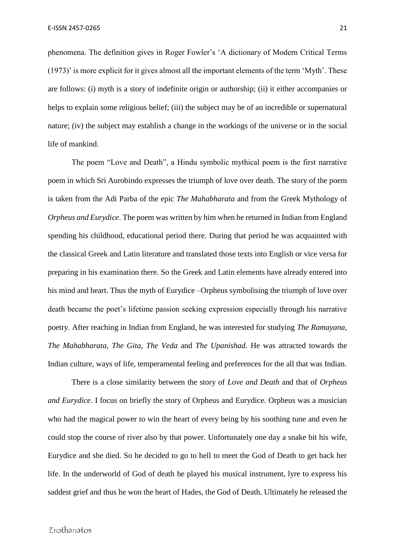phenomena. The definition gives in Roger Fowler's 'A dictionary of Modern Critical Terms (1973)' is more explicit for it gives almost all the important elements of the term 'Myth'. These are follows: (i) myth is a story of indefinite origin or authorship; (ii) it either accompanies or helps to explain some religious belief; (iii) the subject may be of an incredible or supernatural nature; (iv) the subject may establish a change in the workings of the universe or in the social life of mankind.

The poem "Love and Death", a Hindu symbolic mythical poem is the first narrative poem in which Sri Aurobindo expresses the triumph of love over death. The story of the poem is taken from the Adi Parba of the epic *The Mahabharata* and from the Greek Mythology of *Orpheus and Eurydice*. The poem was written by him when he returned in Indian from England spending his childhood, educational period there. During that period he was acquainted with the classical Greek and Latin literature and translated those texts into English or vice versa for preparing in his examination there. So the Greek and Latin elements have already entered into his mind and heart. Thus the myth of Eurydice –Orpheus symbolising the triumph of love over death became the poet's lifetime passion seeking expression especially through his narrative poetry. After reaching in Indian from England, he was interested for studying *The Ramayana, The Mahabharata, The Gita, The Veda* and *The Upanishad.* He was attracted towards the Indian culture, ways of life, temperamental feeling and preferences for the all that was Indian.

There is a close similarity between the story of *Love and Death* and that of *Orpheus and Eurydice*. I focus on briefly the story of Orpheus and Eurydice. Orpheus was a musician who had the magical power to win the heart of every being by his soothing tune and even he could stop the course of river also by that power. Unfortunately one day a snake bit his wife, Eurydice and she died. So he decided to go to hell to meet the God of Death to get back her life. In the underworld of God of death he played his musical instrument, lyre to express his saddest grief and thus he won the heart of Hades, the God of Death. Ultimately he released the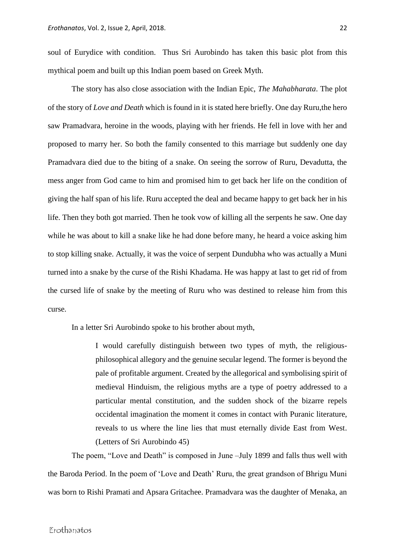soul of Eurydice with condition. Thus Sri Aurobindo has taken this basic plot from this mythical poem and built up this Indian poem based on Greek Myth.

The story has also close association with the Indian Epic, *The Mahabharata*. The plot of the story of *Love and Death* which is found in it is stated here briefly. One day Ruru,the hero saw Pramadvara, heroine in the woods, playing with her friends. He fell in love with her and proposed to marry her. So both the family consented to this marriage but suddenly one day Pramadvara died due to the biting of a snake. On seeing the sorrow of Ruru, Devadutta, the mess anger from God came to him and promised him to get back her life on the condition of giving the half span of his life. Ruru accepted the deal and became happy to get back her in his life. Then they both got married. Then he took vow of killing all the serpents he saw. One day while he was about to kill a snake like he had done before many, he heard a voice asking him to stop killing snake. Actually, it was the voice of serpent Dundubha who was actually a Muni turned into a snake by the curse of the Rishi Khadama. He was happy at last to get rid of from the cursed life of snake by the meeting of Ruru who was destined to release him from this curse.

In a letter Sri Aurobindo spoke to his brother about myth,

I would carefully distinguish between two types of myth, the religiousphilosophical allegory and the genuine secular legend. The former is beyond the pale of profitable argument. Created by the allegorical and symbolising spirit of medieval Hinduism, the religious myths are a type of poetry addressed to a particular mental constitution, and the sudden shock of the bizarre repels occidental imagination the moment it comes in contact with Puranic literature, reveals to us where the line lies that must eternally divide East from West. (Letters of Sri Aurobindo 45)

The poem, "Love and Death" is composed in June –July 1899 and falls thus well with the Baroda Period. In the poem of 'Love and Death' Ruru, the great grandson of Bhrigu Muni was born to Rishi Pramati and Apsara Gritachee. Pramadvara was the daughter of Menaka, an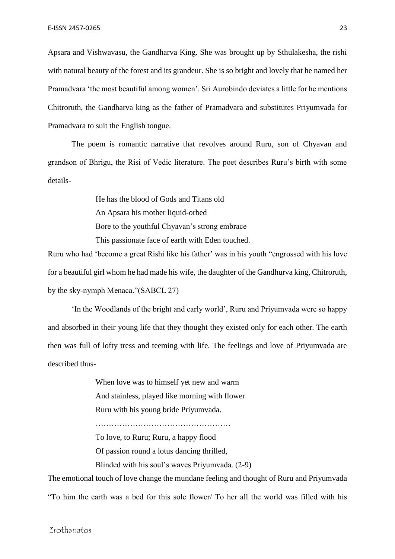Apsara and Vishwavasu, the Gandharva King. She was brought up by Sthulakesha, the rishi with natural beauty of the forest and its grandeur. She is so bright and lovely that he named her Pramadvara 'the most beautiful among women'. Sri Aurobindo deviates a little for he mentions Chitroruth, the Gandharva king as the father of Pramadvara and substitutes Priyumvada for Pramadvara to suit the English tongue.

The poem is romantic narrative that revolves around Ruru, son of Chyavan and grandson of Bhrigu, the Risi of Vedic literature. The poet describes Ruru's birth with some details-

> He has the blood of Gods and Titans old An Apsara his mother liquid-orbed Bore to the youthful Chyavan's strong embrace This passionate face of earth with Eden touched.

Ruru who had 'become a great Rishi like his father' was in his youth "engrossed with his love for a beautiful girl whom he had made his wife, the daughter of the Gandhurva king, Chitroruth, by the sky-nymph Menaca."(SABCL 27)

'In the Woodlands of the bright and early world', Ruru and Priyumvada were so happy and absorbed in their young life that they thought they existed only for each other. The earth then was full of lofty tress and teeming with life. The feelings and love of Priyumvada are described thus-

> When love was to himself yet new and warm And stainless, played like morning with flower Ruru with his young bride Priyumvada.

……………………………………………

To love, to Ruru; Ruru, a happy flood

Of passion round a lotus dancing thrilled,

Blinded with his soul's waves Priyumvada. (2-9)

The emotional touch of love change the mundane feeling and thought of Ruru and Priyumvada "To him the earth was a bed for this sole flower/ To her all the world was filled with his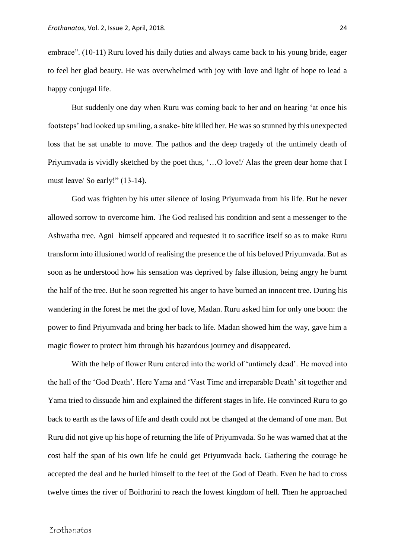embrace". (10-11) Ruru loved his daily duties and always came back to his young bride, eager to feel her glad beauty. He was overwhelmed with joy with love and light of hope to lead a happy conjugal life.

But suddenly one day when Ruru was coming back to her and on hearing 'at once his footsteps' had looked up smiling, a snake- bite killed her. He was so stunned by this unexpected loss that he sat unable to move. The pathos and the deep tragedy of the untimely death of Priyumvada is vividly sketched by the poet thus, '…O love!/ Alas the green dear home that I must leave/ So early!" (13-14).

God was frighten by his utter silence of losing Priyumvada from his life. But he never allowed sorrow to overcome him. The God realised his condition and sent a messenger to the Ashwatha tree. Agni himself appeared and requested it to sacrifice itself so as to make Ruru transform into illusioned world of realising the presence the of his beloved Priyumvada. But as soon as he understood how his sensation was deprived by false illusion, being angry he burnt the half of the tree. But he soon regretted his anger to have burned an innocent tree. During his wandering in the forest he met the god of love, Madan. Ruru asked him for only one boon: the power to find Priyumvada and bring her back to life. Madan showed him the way, gave him a magic flower to protect him through his hazardous journey and disappeared.

With the help of flower Ruru entered into the world of 'untimely dead'. He moved into the hall of the 'God Death'. Here Yama and 'Vast Time and irreparable Death' sit together and Yama tried to dissuade him and explained the different stages in life. He convinced Ruru to go back to earth as the laws of life and death could not be changed at the demand of one man. But Ruru did not give up his hope of returning the life of Priyumvada. So he was warned that at the cost half the span of his own life he could get Priyumvada back. Gathering the courage he accepted the deal and he hurled himself to the feet of the God of Death. Even he had to cross twelve times the river of Boithorini to reach the lowest kingdom of hell. Then he approached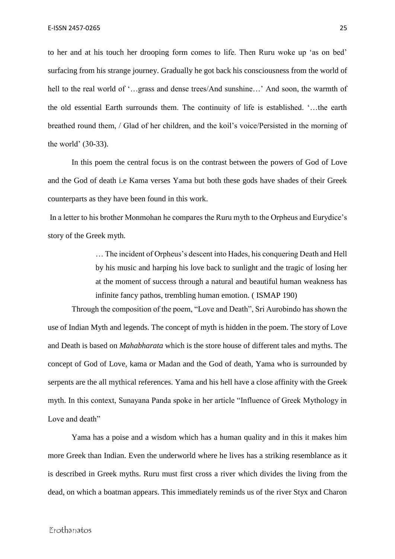to her and at his touch her drooping form comes to life. Then Ruru woke up 'as on bed' surfacing from his strange journey. Gradually he got back his consciousness from the world of hell to the real world of '…grass and dense trees/And sunshine…' And soon, the warmth of the old essential Earth surrounds them. The continuity of life is established. '…the earth breathed round them, / Glad of her children, and the koil's voice/Persisted in the morning of the world' (30-33).

In this poem the central focus is on the contrast between the powers of God of Love and the God of death i.e Kama verses Yama but both these gods have shades of their Greek counterparts as they have been found in this work.

In a letter to his brother Monmohan he compares the Ruru myth to the Orpheus and Eurydice's story of the Greek myth.

> … The incident of Orpheus's descent into Hades, his conquering Death and Hell by his music and harping his love back to sunlight and the tragic of losing her at the moment of success through a natural and beautiful human weakness has infinite fancy pathos, trembling human emotion. ( ISMAP 190)

Through the composition of the poem, "Love and Death", Sri Aurobindo has shown the use of Indian Myth and legends. The concept of myth is hidden in the poem. The story of Love and Death is based on *Mahabharata* which is the store house of different tales and myths. The concept of God of Love, kama or Madan and the God of death, Yama who is surrounded by serpents are the all mythical references. Yama and his hell have a close affinity with the Greek myth. In this context, Sunayana Panda spoke in her article "Influence of Greek Mythology in Love and death"

Yama has a poise and a wisdom which has a human quality and in this it makes him more Greek than Indian. Even the underworld where he lives has a striking resemblance as it is described in Greek myths. Ruru must first cross a river which divides the living from the dead, on which a boatman appears. This immediately reminds us of the river Styx and Charon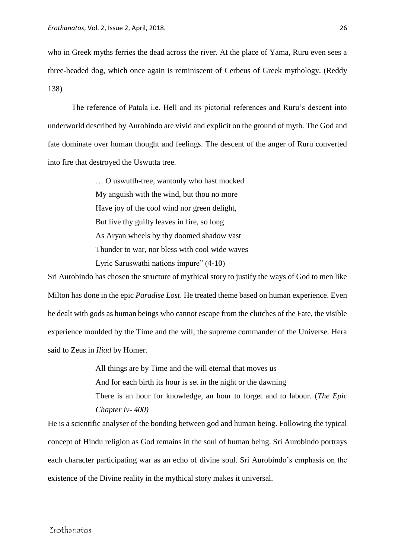who in Greek myths ferries the dead across the river. At the place of Yama, Ruru even sees a three-headed dog, which once again is reminiscent of Cerbeus of Greek mythology. (Reddy 138)

The reference of Patala i.e. Hell and its pictorial references and Ruru's descent into underworld described by Aurobindo are vivid and explicit on the ground of myth. The God and fate dominate over human thought and feelings. The descent of the anger of Ruru converted into fire that destroyed the Uswutta tree.

> … O uswutth-tree, wantonly who hast mocked My anguish with the wind, but thou no more Have joy of the cool wind nor green delight, But live thy guilty leaves in fire, so long As Aryan wheels by thy doomed shadow vast Thunder to war, nor bless with cool wide waves Lyric Saruswathi nations impure" (4-10)

Sri Aurobindo has chosen the structure of mythical story to justify the ways of God to men like Milton has done in the epic *Paradise Lost*. He treated theme based on human experience. Even he dealt with gods as human beings who cannot escape from the clutches of the Fate, the visible experience moulded by the Time and the will, the supreme commander of the Universe. Hera said to Zeus in *Iliad* by Homer.

> All things are by Time and the will eternal that moves us And for each birth its hour is set in the night or the dawning There is an hour for knowledge, an hour to forget and to labour. (*The Epic Chapter iv- 400)*

He is a scientific analyser of the bonding between god and human being. Following the typical concept of Hindu religion as God remains in the soul of human being. Sri Aurobindo portrays each character participating war as an echo of divine soul. Sri Aurobindo's emphasis on the existence of the Divine reality in the mythical story makes it universal.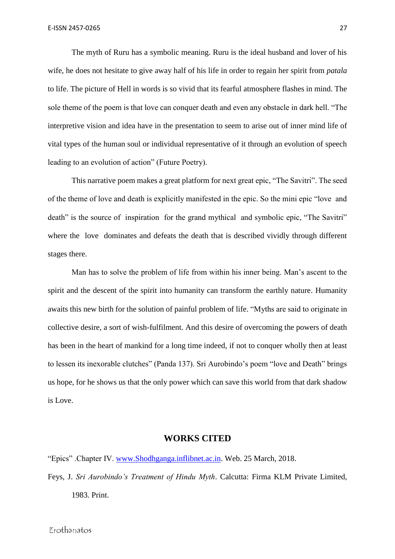The myth of Ruru has a symbolic meaning. Ruru is the ideal husband and lover of his wife, he does not hesitate to give away half of his life in order to regain her spirit from *patala*  to life. The picture of Hell in words is so vivid that its fearful atmosphere flashes in mind. The sole theme of the poem is that love can conquer death and even any obstacle in dark hell. "The interpretive vision and idea have in the presentation to seem to arise out of inner mind life of vital types of the human soul or individual representative of it through an evolution of speech leading to an evolution of action" (Future Poetry).

This narrative poem makes a great platform for next great epic, "The Savitri". The seed of the theme of love and death is explicitly manifested in the epic. So the mini epic "love and death" is the source of inspiration for the grand mythical and symbolic epic, "The Savitri" where the love dominates and defeats the death that is described vividly through different stages there.

Man has to solve the problem of life from within his inner being. Man's ascent to the spirit and the descent of the spirit into humanity can transform the earthly nature. Humanity awaits this new birth for the solution of painful problem of life. "Myths are said to originate in collective desire, a sort of wish-fulfilment. And this desire of overcoming the powers of death has been in the heart of mankind for a long time indeed, if not to conquer wholly then at least to lessen its inexorable clutches" (Panda 137). Sri Aurobindo's poem "love and Death" brings us hope, for he shows us that the only power which can save this world from that dark shadow is Love.

## **WORKS CITED**

"Epics" .Chapter IV. [www.Shodhganga.inflibnet.ac.in.](http://www.shodhganga.inflibnet.ac.in/) Web. 25 March, 2018. Feys, J. *Sri Aurobindo's Treatment of Hindu Myth*. Calcutta: Firma KLM Private Limited, 1983. Print.